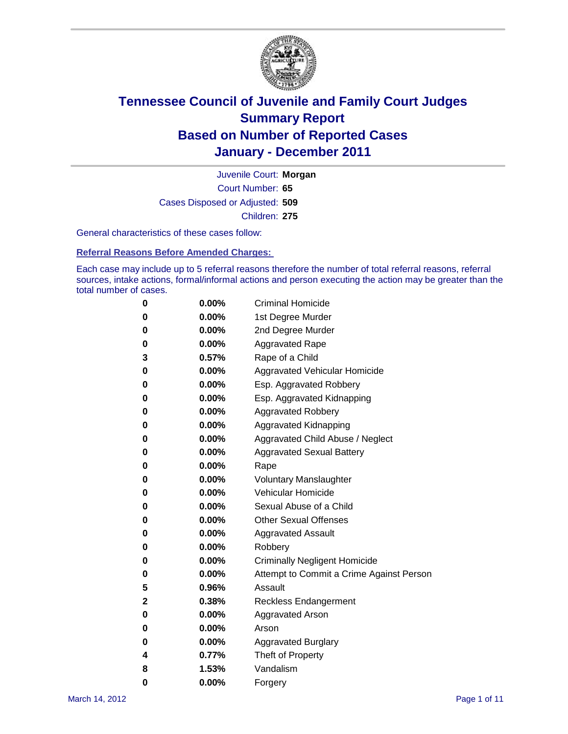

Court Number: **65** Juvenile Court: **Morgan** Cases Disposed or Adjusted: **509** Children: **275**

General characteristics of these cases follow:

**Referral Reasons Before Amended Charges:** 

Each case may include up to 5 referral reasons therefore the number of total referral reasons, referral sources, intake actions, formal/informal actions and person executing the action may be greater than the total number of cases.

| 0 | $0.00\%$ | <b>Criminal Homicide</b>                 |
|---|----------|------------------------------------------|
| 0 | $0.00\%$ | 1st Degree Murder                        |
| 0 | $0.00\%$ | 2nd Degree Murder                        |
| 0 | $0.00\%$ | <b>Aggravated Rape</b>                   |
| 3 | 0.57%    | Rape of a Child                          |
| 0 | $0.00\%$ | Aggravated Vehicular Homicide            |
| 0 | $0.00\%$ | Esp. Aggravated Robbery                  |
| 0 | $0.00\%$ | Esp. Aggravated Kidnapping               |
| 0 | $0.00\%$ | <b>Aggravated Robbery</b>                |
| 0 | $0.00\%$ | Aggravated Kidnapping                    |
| 0 | $0.00\%$ | Aggravated Child Abuse / Neglect         |
| 0 | 0.00%    | <b>Aggravated Sexual Battery</b>         |
| 0 | 0.00%    | Rape                                     |
| 0 | $0.00\%$ | <b>Voluntary Manslaughter</b>            |
| 0 | $0.00\%$ | Vehicular Homicide                       |
| 0 | $0.00\%$ | Sexual Abuse of a Child                  |
| 0 | $0.00\%$ | <b>Other Sexual Offenses</b>             |
| 0 | $0.00\%$ | <b>Aggravated Assault</b>                |
| 0 | $0.00\%$ | Robbery                                  |
| 0 | $0.00\%$ | <b>Criminally Negligent Homicide</b>     |
| 0 | $0.00\%$ | Attempt to Commit a Crime Against Person |
| 5 | 0.96%    | Assault                                  |
| 2 | 0.38%    | <b>Reckless Endangerment</b>             |
| 0 | 0.00%    | <b>Aggravated Arson</b>                  |
| 0 | $0.00\%$ | Arson                                    |
| 0 | $0.00\%$ | <b>Aggravated Burglary</b>               |
| 4 | 0.77%    | Theft of Property                        |
| 8 | 1.53%    | Vandalism                                |
| 0 | 0.00%    | Forgery                                  |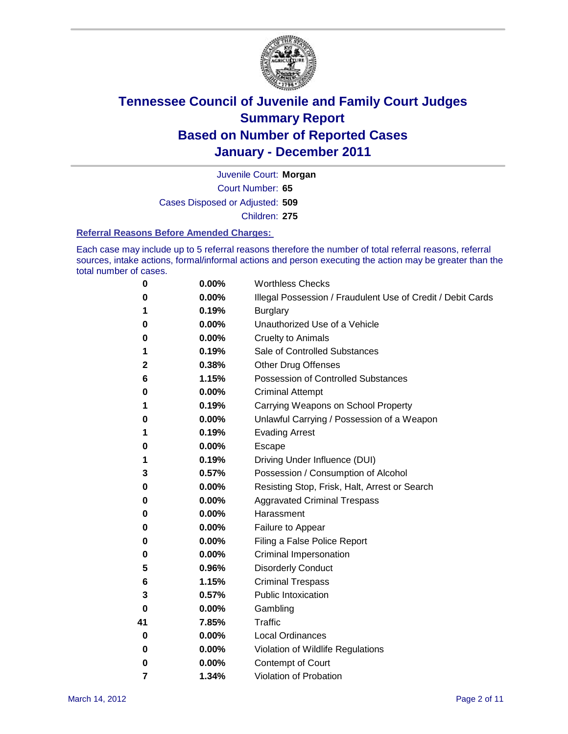

Court Number: **65** Juvenile Court: **Morgan** Cases Disposed or Adjusted: **509** Children: **275**

#### **Referral Reasons Before Amended Charges:**

Each case may include up to 5 referral reasons therefore the number of total referral reasons, referral sources, intake actions, formal/informal actions and person executing the action may be greater than the total number of cases.

| 0  | 0.00% | <b>Worthless Checks</b>                                     |
|----|-------|-------------------------------------------------------------|
| 0  | 0.00% | Illegal Possession / Fraudulent Use of Credit / Debit Cards |
| 1  | 0.19% | <b>Burglary</b>                                             |
| 0  | 0.00% | Unauthorized Use of a Vehicle                               |
| 0  | 0.00% | <b>Cruelty to Animals</b>                                   |
| 1  | 0.19% | Sale of Controlled Substances                               |
| 2  | 0.38% | <b>Other Drug Offenses</b>                                  |
| 6  | 1.15% | Possession of Controlled Substances                         |
| 0  | 0.00% | <b>Criminal Attempt</b>                                     |
| 1  | 0.19% | Carrying Weapons on School Property                         |
| 0  | 0.00% | Unlawful Carrying / Possession of a Weapon                  |
| 1  | 0.19% | <b>Evading Arrest</b>                                       |
| 0  | 0.00% | Escape                                                      |
| 1  | 0.19% | Driving Under Influence (DUI)                               |
| 3  | 0.57% | Possession / Consumption of Alcohol                         |
| 0  | 0.00% | Resisting Stop, Frisk, Halt, Arrest or Search               |
| 0  | 0.00% | <b>Aggravated Criminal Trespass</b>                         |
| 0  | 0.00% | Harassment                                                  |
| 0  | 0.00% | Failure to Appear                                           |
| 0  | 0.00% | Filing a False Police Report                                |
| 0  | 0.00% | Criminal Impersonation                                      |
| 5  | 0.96% | <b>Disorderly Conduct</b>                                   |
| 6  | 1.15% | <b>Criminal Trespass</b>                                    |
| 3  | 0.57% | <b>Public Intoxication</b>                                  |
| 0  | 0.00% | Gambling                                                    |
| 41 | 7.85% | <b>Traffic</b>                                              |
| 0  | 0.00% | <b>Local Ordinances</b>                                     |
| 0  | 0.00% | Violation of Wildlife Regulations                           |
| 0  | 0.00% | Contempt of Court                                           |
| 7  | 1.34% | Violation of Probation                                      |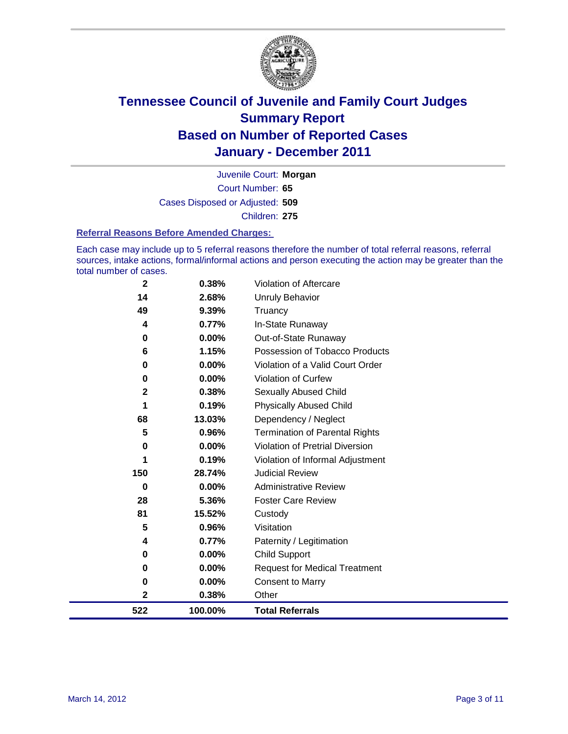

Court Number: **65** Juvenile Court: **Morgan** Cases Disposed or Adjusted: **509** Children: **275**

#### **Referral Reasons Before Amended Charges:**

Each case may include up to 5 referral reasons therefore the number of total referral reasons, referral sources, intake actions, formal/informal actions and person executing the action may be greater than the total number of cases.

| 522          | 100.00%  | <b>Total Referrals</b>                 |
|--------------|----------|----------------------------------------|
| 2            | 0.38%    | Other                                  |
| 0            | 0.00%    | <b>Consent to Marry</b>                |
| 0            | 0.00%    | <b>Request for Medical Treatment</b>   |
| 0            | 0.00%    | <b>Child Support</b>                   |
| 4            | 0.77%    | Paternity / Legitimation               |
| 5            | 0.96%    | Visitation                             |
| 81           | 15.52%   | Custody                                |
| 28           | 5.36%    | <b>Foster Care Review</b>              |
| 0            | $0.00\%$ | <b>Administrative Review</b>           |
| 150          | 28.74%   | <b>Judicial Review</b>                 |
| 1            | 0.19%    | Violation of Informal Adjustment       |
| 0            | 0.00%    | <b>Violation of Pretrial Diversion</b> |
| 5            | 0.96%    | <b>Termination of Parental Rights</b>  |
| 68           | 13.03%   | Dependency / Neglect                   |
| 1            | 0.19%    | <b>Physically Abused Child</b>         |
| $\mathbf{2}$ | 0.38%    | Sexually Abused Child                  |
| 0            | 0.00%    | <b>Violation of Curfew</b>             |
| 0            | 0.00%    | Violation of a Valid Court Order       |
| 6            | 1.15%    | Possession of Tobacco Products         |
| 0            | 0.00%    | Out-of-State Runaway                   |
| 4            | 0.77%    | In-State Runaway                       |
| 49           | 9.39%    | Truancy                                |
| 14           | 2.68%    | Unruly Behavior                        |
| $\mathbf 2$  | 0.38%    | Violation of Aftercare                 |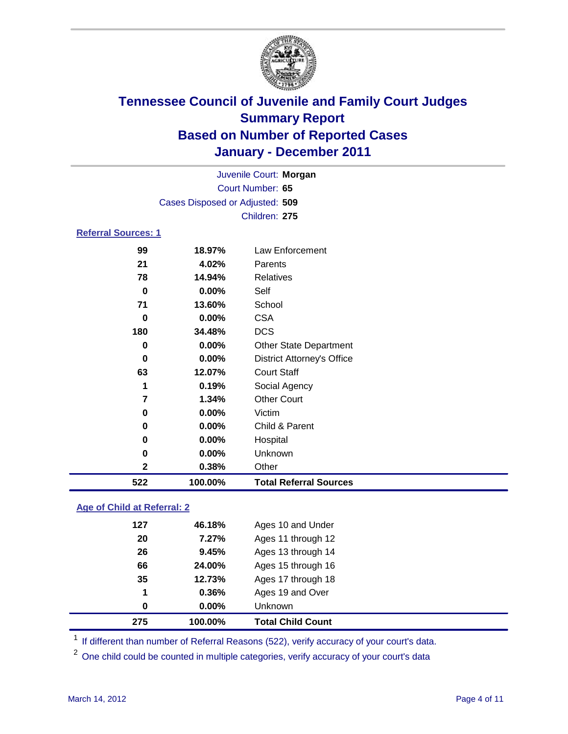

|                            | Juvenile Court: Morgan          |                                   |  |  |  |
|----------------------------|---------------------------------|-----------------------------------|--|--|--|
|                            | Court Number: 65                |                                   |  |  |  |
|                            | Cases Disposed or Adjusted: 509 |                                   |  |  |  |
|                            | Children: 275                   |                                   |  |  |  |
| <b>Referral Sources: 1</b> |                                 |                                   |  |  |  |
| 99                         | 18.97%                          | Law Enforcement                   |  |  |  |
| 21                         | 4.02%                           | Parents                           |  |  |  |
| 78                         | 14.94%                          | <b>Relatives</b>                  |  |  |  |
| 0                          | 0.00%                           | Self                              |  |  |  |
| 71                         | 13.60%                          | School                            |  |  |  |
| 0                          | $0.00\%$                        | <b>CSA</b>                        |  |  |  |
| 180                        | 34.48%                          | <b>DCS</b>                        |  |  |  |
| $\bf{0}$                   | 0.00%                           | <b>Other State Department</b>     |  |  |  |
| 0                          | 0.00%                           | <b>District Attorney's Office</b> |  |  |  |
| 63                         | 12.07%                          | <b>Court Staff</b>                |  |  |  |
| 1                          | 0.19%                           | Social Agency                     |  |  |  |
| $\overline{7}$             | 1.34%                           | <b>Other Court</b>                |  |  |  |
| $\bf{0}$                   | 0.00%                           | Victim                            |  |  |  |
| 0                          | 0.00%                           | Child & Parent                    |  |  |  |
| 0                          | $0.00\%$                        | Hospital                          |  |  |  |
| 0                          | 0.00%                           | Unknown                           |  |  |  |
| $\mathbf 2$                | 0.38%                           | Other                             |  |  |  |
| 522                        | 100.00%                         | <b>Total Referral Sources</b>     |  |  |  |

### **Age of Child at Referral: 2**

| 275 | 100.00%  | <b>Total Child Count</b> |
|-----|----------|--------------------------|
| 0   | $0.00\%$ | <b>Unknown</b>           |
| 1   | 0.36%    | Ages 19 and Over         |
| 35  | 12.73%   | Ages 17 through 18       |
| 66  | 24.00%   | Ages 15 through 16       |
| 26  | 9.45%    | Ages 13 through 14       |
| 20  | 7.27%    | Ages 11 through 12       |
| 127 | 46.18%   | Ages 10 and Under        |
|     |          |                          |

<sup>1</sup> If different than number of Referral Reasons (522), verify accuracy of your court's data.

<sup>2</sup> One child could be counted in multiple categories, verify accuracy of your court's data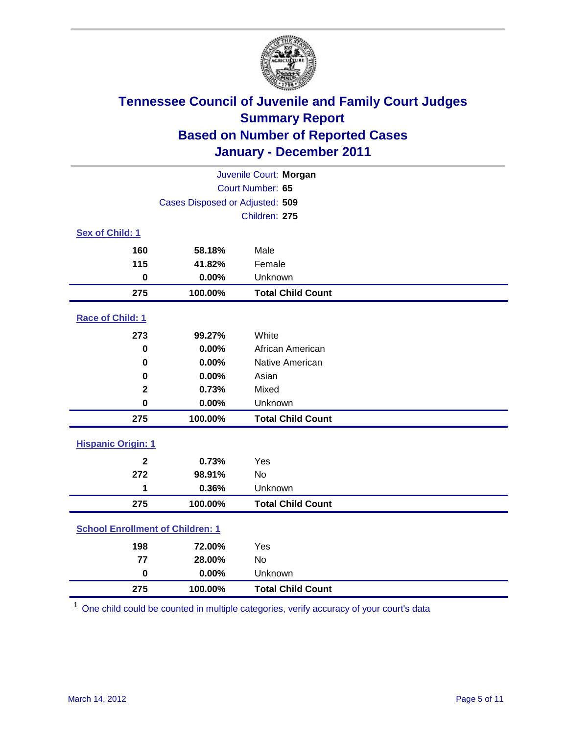

| Juvenile Court: Morgan                  |                                 |                          |  |  |  |
|-----------------------------------------|---------------------------------|--------------------------|--|--|--|
| Court Number: 65                        |                                 |                          |  |  |  |
|                                         | Cases Disposed or Adjusted: 509 |                          |  |  |  |
|                                         |                                 | Children: 275            |  |  |  |
| Sex of Child: 1                         |                                 |                          |  |  |  |
| 160                                     | 58.18%                          | Male                     |  |  |  |
| 115                                     | 41.82%                          | Female                   |  |  |  |
| $\mathbf 0$                             | 0.00%                           | Unknown                  |  |  |  |
| 275                                     | 100.00%                         | <b>Total Child Count</b> |  |  |  |
| Race of Child: 1                        |                                 |                          |  |  |  |
| 273                                     | 99.27%                          | White                    |  |  |  |
| $\mathbf 0$                             | 0.00%                           | African American         |  |  |  |
| $\mathbf 0$                             | 0.00%                           | Native American          |  |  |  |
| 0                                       | 0.00%                           | Asian                    |  |  |  |
| $\mathbf 2$                             | 0.73%                           | Mixed                    |  |  |  |
| $\mathbf 0$                             | 0.00%                           | Unknown                  |  |  |  |
| 275                                     | 100.00%                         | <b>Total Child Count</b> |  |  |  |
| <b>Hispanic Origin: 1</b>               |                                 |                          |  |  |  |
| $\mathbf{2}$                            | 0.73%                           | Yes                      |  |  |  |
| 272                                     | 98.91%                          | No                       |  |  |  |
| 1                                       | 0.36%                           | Unknown                  |  |  |  |
| 275                                     | 100.00%                         | <b>Total Child Count</b> |  |  |  |
| <b>School Enrollment of Children: 1</b> |                                 |                          |  |  |  |
| 198                                     | 72.00%                          | Yes                      |  |  |  |
| 77                                      | 28.00%                          | No                       |  |  |  |
| $\mathbf 0$                             | 0.00%                           | Unknown                  |  |  |  |
| 275                                     | 100.00%                         | <b>Total Child Count</b> |  |  |  |

One child could be counted in multiple categories, verify accuracy of your court's data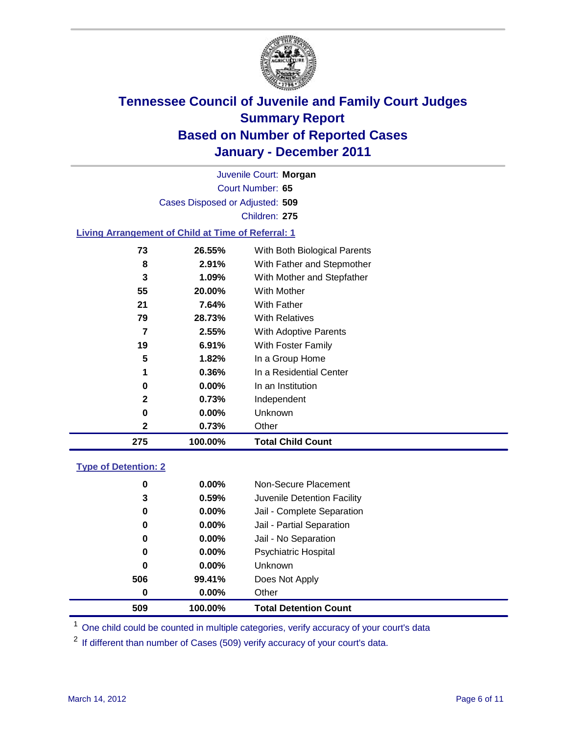

Court Number: **65** Juvenile Court: **Morgan** Cases Disposed or Adjusted: **509** Children: **275**

#### **Living Arrangement of Child at Time of Referral: 1**

| 275 | 100.00%  | <b>Total Child Count</b>     |
|-----|----------|------------------------------|
| 2   | 0.73%    | Other                        |
| 0   | 0.00%    | Unknown                      |
| 2   | 0.73%    | Independent                  |
| 0   | $0.00\%$ | In an Institution            |
| 1   | 0.36%    | In a Residential Center      |
| 5   | 1.82%    | In a Group Home              |
| 19  | 6.91%    | With Foster Family           |
| 7   | 2.55%    | With Adoptive Parents        |
| 79  | 28.73%   | <b>With Relatives</b>        |
| 21  | 7.64%    | <b>With Father</b>           |
| 55  | 20.00%   | With Mother                  |
| 3   | 1.09%    | With Mother and Stepfather   |
| 8   | 2.91%    | With Father and Stepmother   |
| 73  | 26.55%   | With Both Biological Parents |
|     |          |                              |

#### **Type of Detention: 2**

| 509 | 100.00%  | <b>Total Detention Count</b> |
|-----|----------|------------------------------|
| 0   | $0.00\%$ | Other                        |
| 506 | 99.41%   | Does Not Apply               |
| 0   | $0.00\%$ | Unknown                      |
| 0   | $0.00\%$ | <b>Psychiatric Hospital</b>  |
| 0   | 0.00%    | Jail - No Separation         |
| 0   | $0.00\%$ | Jail - Partial Separation    |
| 0   | $0.00\%$ | Jail - Complete Separation   |
| 3   | 0.59%    | Juvenile Detention Facility  |
| 0   | $0.00\%$ | Non-Secure Placement         |
|     |          |                              |

<sup>1</sup> One child could be counted in multiple categories, verify accuracy of your court's data

<sup>2</sup> If different than number of Cases (509) verify accuracy of your court's data.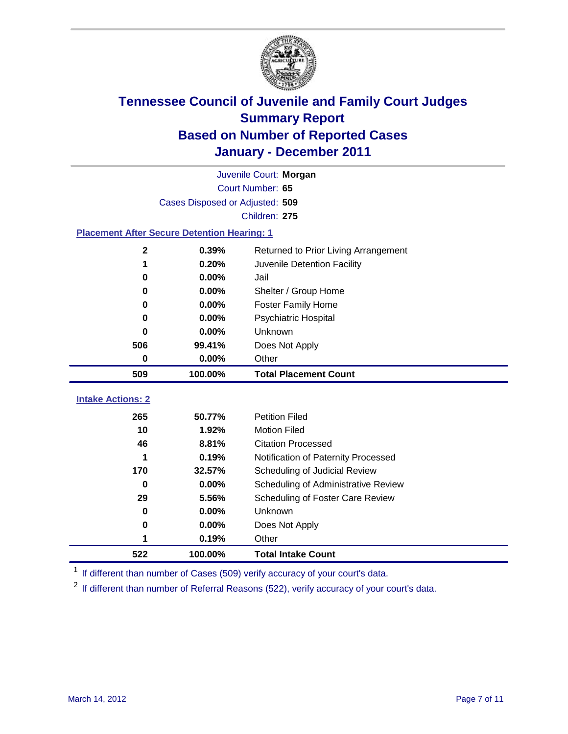

|                                                    | Juvenile Court: Morgan          |                                      |  |  |  |
|----------------------------------------------------|---------------------------------|--------------------------------------|--|--|--|
|                                                    | Court Number: 65                |                                      |  |  |  |
|                                                    | Cases Disposed or Adjusted: 509 |                                      |  |  |  |
|                                                    |                                 | Children: 275                        |  |  |  |
| <b>Placement After Secure Detention Hearing: 1</b> |                                 |                                      |  |  |  |
| $\mathbf{2}$                                       | 0.39%                           | Returned to Prior Living Arrangement |  |  |  |
| 1                                                  | 0.20%                           | Juvenile Detention Facility          |  |  |  |
| $\bf{0}$                                           | 0.00%                           | Jail                                 |  |  |  |
| $\bf{0}$                                           | 0.00%                           | Shelter / Group Home                 |  |  |  |
| 0                                                  | 0.00%                           | <b>Foster Family Home</b>            |  |  |  |
| $\bf{0}$                                           | 0.00%                           | Psychiatric Hospital                 |  |  |  |
| 0                                                  | 0.00%                           | Unknown                              |  |  |  |
| 506                                                | 99.41%                          | Does Not Apply                       |  |  |  |
| 0                                                  | 0.00%                           | Other                                |  |  |  |
| 509                                                | 100.00%                         | <b>Total Placement Count</b>         |  |  |  |
|                                                    |                                 |                                      |  |  |  |
| <b>Intake Actions: 2</b>                           |                                 |                                      |  |  |  |
| 265                                                | 50.77%                          | <b>Petition Filed</b>                |  |  |  |
| 10                                                 | 1.92%                           | <b>Motion Filed</b>                  |  |  |  |
| 46                                                 | 8.81%                           | <b>Citation Processed</b>            |  |  |  |
| 1                                                  | 0.19%                           | Notification of Paternity Processed  |  |  |  |
| 170                                                | 32.57%                          | Scheduling of Judicial Review        |  |  |  |
| $\bf{0}$                                           | 0.00%                           | Scheduling of Administrative Review  |  |  |  |
| 29                                                 | 5.56%                           | Scheduling of Foster Care Review     |  |  |  |
| $\bf{0}$                                           | 0.00%                           | Unknown                              |  |  |  |
| 0                                                  | 0.00%                           | Does Not Apply                       |  |  |  |
| 1                                                  | 0.19%                           | Other                                |  |  |  |
| 522                                                | 100.00%                         | <b>Total Intake Count</b>            |  |  |  |

<sup>1</sup> If different than number of Cases (509) verify accuracy of your court's data.

<sup>2</sup> If different than number of Referral Reasons (522), verify accuracy of your court's data.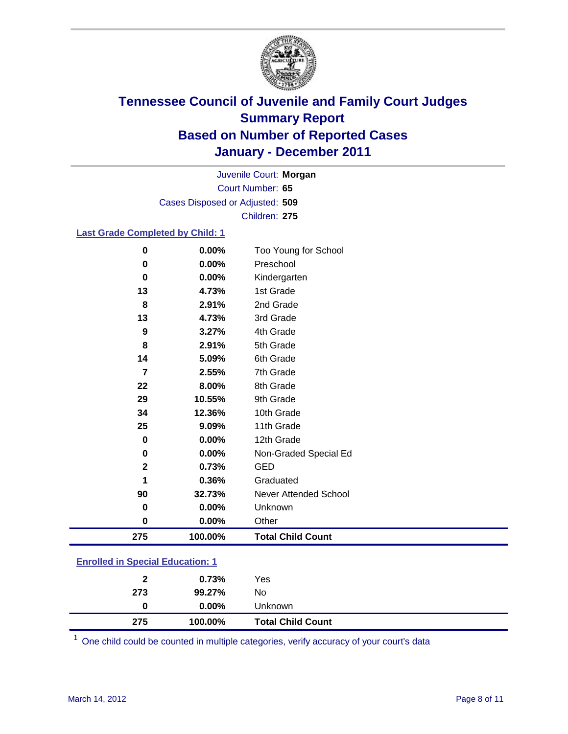

Court Number: **65** Juvenile Court: **Morgan** Cases Disposed or Adjusted: **509** Children: **275**

### **Last Grade Completed by Child: 1**

| 0<br>$\bf{0}$ | 0.00%<br>0.00% | Unknown<br>Other                  |
|---------------|----------------|-----------------------------------|
|               |                |                                   |
|               |                |                                   |
| 90            | 32.73%         | Never Attended School             |
| 1             | 0.36%          | Graduated                         |
| $\mathbf{2}$  | 0.73%          | <b>GED</b>                        |
| 0             | 0.00%          | Non-Graded Special Ed             |
| $\bf{0}$      | 0.00%          | 12th Grade                        |
| 25            | 9.09%          | 11th Grade                        |
| 34            | 12.36%         | 10th Grade                        |
| 29            | 10.55%         | 9th Grade                         |
| 22            | 8.00%          | 8th Grade                         |
| 7             | 2.55%          | 7th Grade                         |
| 14            | 5.09%          | 6th Grade                         |
| 8             | 2.91%          | 5th Grade                         |
| 9             | 3.27%          | 4th Grade                         |
| 13            | 4.73%          | 3rd Grade                         |
| 8             | 2.91%          | 2nd Grade                         |
| 13            | 4.73%          | 1st Grade                         |
| 0             | 0.00%          | Kindergarten                      |
| 0             | 0.00%          | Too Young for School<br>Preschool |

### **Enrolled in Special Education: 1**

| 275          | 100.00%  | <b>Total Child Count</b> |
|--------------|----------|--------------------------|
| 0            | $0.00\%$ | <b>Unknown</b>           |
| 273          | 99.27%   | No.                      |
| $\mathbf{2}$ | 0.73%    | Yes                      |
|              |          |                          |

One child could be counted in multiple categories, verify accuracy of your court's data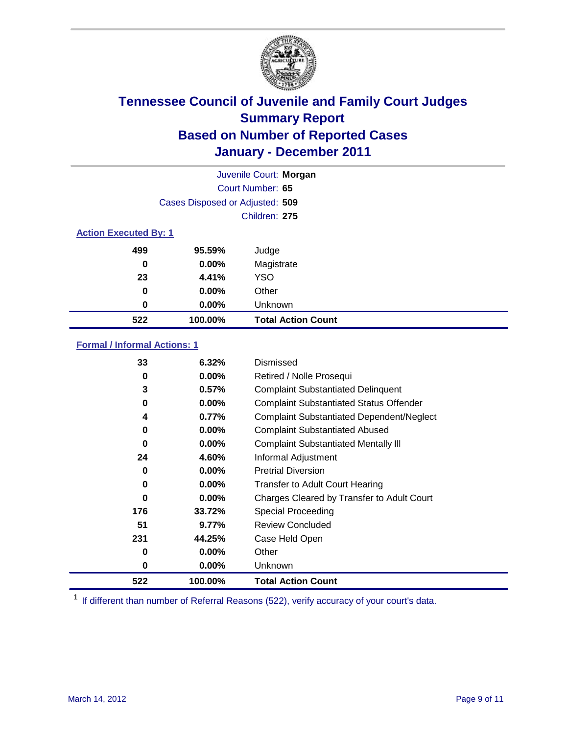

|     | Juvenile Court: Morgan          |                           |  |  |  |
|-----|---------------------------------|---------------------------|--|--|--|
|     | Court Number: 65                |                           |  |  |  |
|     | Cases Disposed or Adjusted: 509 |                           |  |  |  |
|     | Children: 275                   |                           |  |  |  |
|     | <b>Action Executed By: 1</b>    |                           |  |  |  |
| 499 | 95.59%                          | Judge                     |  |  |  |
| 0   | $0.00\%$                        | Magistrate                |  |  |  |
| 23  | 4.41%                           | <b>YSO</b>                |  |  |  |
| 0   | $0.00\%$                        | Other                     |  |  |  |
| 0   | 0.00%                           | Unknown                   |  |  |  |
| 522 | 100.00%                         | <b>Total Action Count</b> |  |  |  |

### **Formal / Informal Actions: 1**

| 33       | 6.32%    | Dismissed                                        |
|----------|----------|--------------------------------------------------|
| 0        | $0.00\%$ | Retired / Nolle Prosequi                         |
| 3        | 0.57%    | <b>Complaint Substantiated Delinquent</b>        |
| 0        | $0.00\%$ | <b>Complaint Substantiated Status Offender</b>   |
| 4        | 0.77%    | <b>Complaint Substantiated Dependent/Neglect</b> |
| 0        | $0.00\%$ | <b>Complaint Substantiated Abused</b>            |
| $\bf{0}$ | 0.00%    | <b>Complaint Substantiated Mentally III</b>      |
| 24       | 4.60%    | Informal Adjustment                              |
| 0        | $0.00\%$ | <b>Pretrial Diversion</b>                        |
| 0        | $0.00\%$ | <b>Transfer to Adult Court Hearing</b>           |
| 0        | $0.00\%$ | Charges Cleared by Transfer to Adult Court       |
| 176      | 33.72%   | <b>Special Proceeding</b>                        |
| 51       | 9.77%    | <b>Review Concluded</b>                          |
| 231      | 44.25%   | Case Held Open                                   |
| 0        | $0.00\%$ | Other                                            |
| 0        | $0.00\%$ | <b>Unknown</b>                                   |
| 522      | 100.00%  | <b>Total Action Count</b>                        |

<sup>1</sup> If different than number of Referral Reasons (522), verify accuracy of your court's data.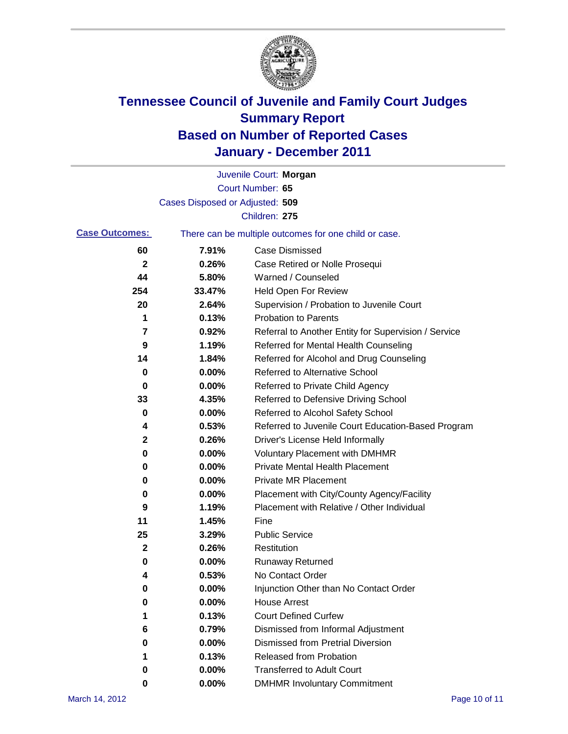

|                       |                                 | Juvenile Court: Morgan                                |
|-----------------------|---------------------------------|-------------------------------------------------------|
|                       |                                 | Court Number: 65                                      |
|                       | Cases Disposed or Adjusted: 509 |                                                       |
|                       |                                 | Children: 275                                         |
| <b>Case Outcomes:</b> |                                 | There can be multiple outcomes for one child or case. |
| 60                    | 7.91%                           | <b>Case Dismissed</b>                                 |
| $\mathbf 2$           | 0.26%                           | Case Retired or Nolle Prosequi                        |
| 44                    | 5.80%                           | Warned / Counseled                                    |
| 254                   | 33.47%                          | <b>Held Open For Review</b>                           |
| 20                    | 2.64%                           | Supervision / Probation to Juvenile Court             |
| 1                     | 0.13%                           | <b>Probation to Parents</b>                           |
| 7                     | 0.92%                           | Referral to Another Entity for Supervision / Service  |
| 9                     | 1.19%                           | Referred for Mental Health Counseling                 |
| 14                    | 1.84%                           | Referred for Alcohol and Drug Counseling              |
| 0                     | 0.00%                           | <b>Referred to Alternative School</b>                 |
| 0                     | 0.00%                           | Referred to Private Child Agency                      |
| 33                    | 4.35%                           | Referred to Defensive Driving School                  |
| 0                     | 0.00%                           | Referred to Alcohol Safety School                     |
| 4                     | 0.53%                           | Referred to Juvenile Court Education-Based Program    |
| 2                     | 0.26%                           | Driver's License Held Informally                      |
| 0                     | 0.00%                           | <b>Voluntary Placement with DMHMR</b>                 |
| 0                     | 0.00%                           | <b>Private Mental Health Placement</b>                |
| 0                     | 0.00%                           | <b>Private MR Placement</b>                           |
| 0                     | 0.00%                           | Placement with City/County Agency/Facility            |
| 9                     | 1.19%                           | Placement with Relative / Other Individual            |
| 11                    | 1.45%                           | Fine                                                  |
| 25                    | 3.29%                           | <b>Public Service</b>                                 |
| 2                     | 0.26%                           | Restitution                                           |
| 0                     | 0.00%                           | <b>Runaway Returned</b>                               |
| 4                     | 0.53%                           | No Contact Order                                      |
| 0                     | 0.00%                           | Injunction Other than No Contact Order                |
| 0                     | 0.00%                           | <b>House Arrest</b>                                   |
| 1                     | 0.13%                           | <b>Court Defined Curfew</b>                           |
| 6                     | 0.79%                           | Dismissed from Informal Adjustment                    |
| 0                     | 0.00%                           | <b>Dismissed from Pretrial Diversion</b>              |
| 1                     | 0.13%                           | Released from Probation                               |
| 0                     | 0.00%                           | <b>Transferred to Adult Court</b>                     |
| 0                     | $0.00\%$                        | <b>DMHMR Involuntary Commitment</b>                   |